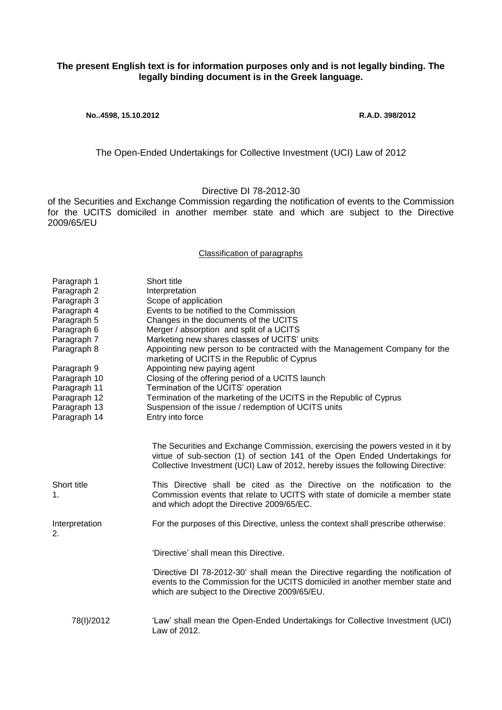## **The present English text is for information purposes only and is not legally binding. The legally binding document is in the Greek language.**

**No..4598, 15.10.2012 R.A.D. 398/2012**

The Open-Ended Undertakings for Collective Investment (UCI) Law of 2012

Directive DI 78-2012-30

of the Securities and Exchange Commission regarding the notification of events to the Commission for the UCITS domiciled in another member state and which are subject to the Directive 2009/65/EU

## Classification of paragraphs

| Paragraph 1          | Short title                                                                                                                                                                                                                                     |
|----------------------|-------------------------------------------------------------------------------------------------------------------------------------------------------------------------------------------------------------------------------------------------|
| Paragraph 2          | Interpretation                                                                                                                                                                                                                                  |
| Paragraph 3          | Scope of application                                                                                                                                                                                                                            |
| Paragraph 4          | Events to be notified to the Commission                                                                                                                                                                                                         |
| Paragraph 5          | Changes in the documents of the UCITS                                                                                                                                                                                                           |
| Paragraph 6          | Merger / absorption and split of a UCITS                                                                                                                                                                                                        |
| Paragraph 7          | Marketing new shares classes of UCITS' units                                                                                                                                                                                                    |
| Paragraph 8          | Appointing new person to be contracted with the Management Company for the                                                                                                                                                                      |
|                      | marketing of UCITS in the Republic of Cyprus                                                                                                                                                                                                    |
| Paragraph 9          | Appointing new paying agent                                                                                                                                                                                                                     |
| Paragraph 10         | Closing of the offering period of a UCITS launch                                                                                                                                                                                                |
| Paragraph 11         | Termination of the UCITS' operation                                                                                                                                                                                                             |
| Paragraph 12         | Termination of the marketing of the UCITS in the Republic of Cyprus                                                                                                                                                                             |
| Paragraph 13         | Suspension of the issue / redemption of UCITS units                                                                                                                                                                                             |
| Paragraph 14         | Entry into force                                                                                                                                                                                                                                |
|                      |                                                                                                                                                                                                                                                 |
|                      | The Securities and Exchange Commission, exercising the powers vested in it by<br>virtue of sub-section (1) of section 141 of the Open Ended Undertakings for<br>Collective Investment (UCI) Law of 2012, hereby issues the following Directive: |
| Short title          | This Directive shall be cited as the Directive on the notification to the                                                                                                                                                                       |
| $\mathbf 1$ .        | Commission events that relate to UCITS with state of domicile a member state<br>and which adopt the Directive 2009/65/EC.                                                                                                                       |
|                      | For the purposes of this Directive, unless the context shall prescribe otherwise:                                                                                                                                                               |
| Interpretation<br>2. |                                                                                                                                                                                                                                                 |
|                      | 'Directive' shall mean this Directive.                                                                                                                                                                                                          |
|                      | 'Directive DI 78-2012-30' shall mean the Directive regarding the notification of<br>events to the Commission for the UCITS domiciled in another member state and<br>which are subject to the Directive 2009/65/EU.                              |
|                      |                                                                                                                                                                                                                                                 |
| 78(I)/2012           | 'Law' shall mean the Open-Ended Undertakings for Collective Investment (UCI)<br>Law of 2012.                                                                                                                                                    |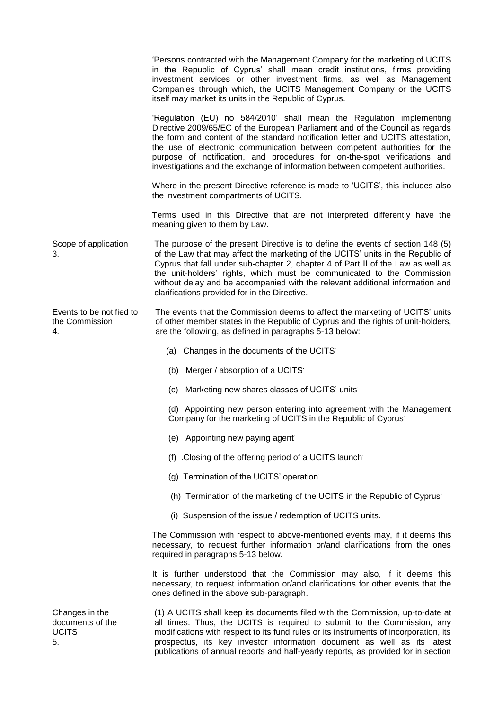|                                                   | 'Persons contracted with the Management Company for the marketing of UCITS<br>in the Republic of Cyprus' shall mean credit institutions, firms providing<br>investment services or other investment firms, as well as Management<br>Companies through which, the UCITS Management Company or the UCITS<br>itself may market its units in the Republic of Cyprus.                                                                                                                    |
|---------------------------------------------------|-------------------------------------------------------------------------------------------------------------------------------------------------------------------------------------------------------------------------------------------------------------------------------------------------------------------------------------------------------------------------------------------------------------------------------------------------------------------------------------|
|                                                   | 'Regulation (EU) no 584/2010' shall mean the Regulation implementing<br>Directive 2009/65/EC of the European Parliament and of the Council as regards<br>the form and content of the standard notification letter and UCITS attestation,<br>the use of electronic communication between competent authorities for the<br>purpose of notification, and procedures for on-the-spot verifications and<br>investigations and the exchange of information between competent authorities. |
|                                                   | Where in the present Directive reference is made to 'UCITS', this includes also<br>the investment compartments of UCITS.                                                                                                                                                                                                                                                                                                                                                            |
|                                                   | Terms used in this Directive that are not interpreted differently have the<br>meaning given to them by Law.                                                                                                                                                                                                                                                                                                                                                                         |
| Scope of application<br>3.                        | The purpose of the present Directive is to define the events of section 148 (5)<br>of the Law that may affect the marketing of the UCITS' units in the Republic of<br>Cyprus that fall under sub-chapter 2, chapter 4 of Part II of the Law as well as<br>the unit-holders' rights, which must be communicated to the Commission<br>without delay and be accompanied with the relevant additional information and<br>clarifications provided for in the Directive.                  |
| Events to be notified to<br>the Commission<br>4.  | The events that the Commission deems to affect the marketing of UCITS' units<br>of other member states in the Republic of Cyprus and the rights of unit-holders,<br>are the following, as defined in paragraphs 5-13 below:                                                                                                                                                                                                                                                         |
|                                                   | (a) Changes in the documents of the UCITS                                                                                                                                                                                                                                                                                                                                                                                                                                           |
|                                                   | (b) Merger / absorption of a UCITS                                                                                                                                                                                                                                                                                                                                                                                                                                                  |
|                                                   | (c) Marketing new shares classes of UCITS' units                                                                                                                                                                                                                                                                                                                                                                                                                                    |
|                                                   | (d) Appointing new person entering into agreement with the Management<br>Company for the marketing of UCITS in the Republic of Cyprus                                                                                                                                                                                                                                                                                                                                               |
|                                                   | (e) Appointing new paying agent                                                                                                                                                                                                                                                                                                                                                                                                                                                     |
|                                                   | (f) Closing of the offering period of a UCITS launch                                                                                                                                                                                                                                                                                                                                                                                                                                |
|                                                   | (g) Termination of the UCITS' operation                                                                                                                                                                                                                                                                                                                                                                                                                                             |
|                                                   | (h) Termination of the marketing of the UCITS in the Republic of Cyprus                                                                                                                                                                                                                                                                                                                                                                                                             |
|                                                   | (i) Suspension of the issue / redemption of UCITS units.                                                                                                                                                                                                                                                                                                                                                                                                                            |
|                                                   | The Commission with respect to above-mentioned events may, if it deems this<br>necessary, to request further information or/and clarifications from the ones<br>required in paragraphs 5-13 below.                                                                                                                                                                                                                                                                                  |
|                                                   | It is further understood that the Commission may also, if it deems this<br>necessary, to request information or/and clarifications for other events that the<br>ones defined in the above sub-paragraph.                                                                                                                                                                                                                                                                            |
| Changes in the<br>documents of the<br>UCITS<br>5. | (1) A UCITS shall keep its documents filed with the Commission, up-to-date at<br>all times. Thus, the UCITS is required to submit to the Commission, any<br>modifications with respect to its fund rules or its instruments of incorporation, its<br>prospectus, its key investor information document as well as its latest<br>publications of annual reports and half-yearly reports, as provided for in section                                                                  |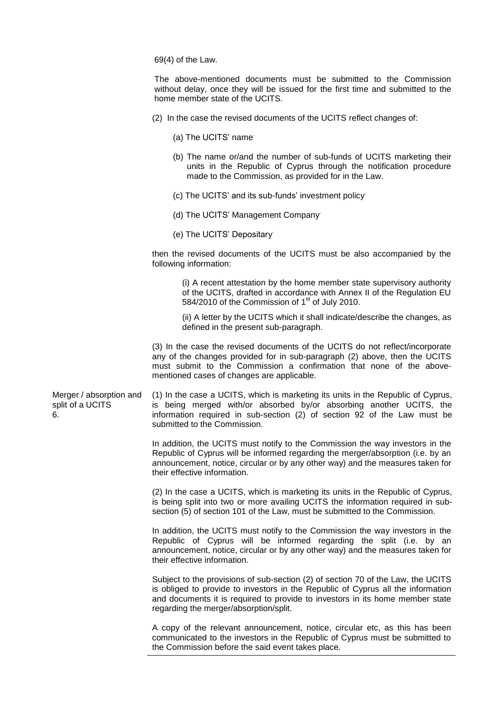69(4) of the Law.

The above-mentioned documents must be submitted to the Commission without delay, once they will be issued for the first time and submitted to the home member state of the UCITS.

- (2) In the case the revised documents of the UCITS reflect changes of:
	- (a) The UCITS' name.
	- (b) The name or/and the number of sub-funds of UCITS marketing their units in the Republic of Cyprus through the notification procedure made to the Commission, as provided for in the Law.
	- (c) The UCITS' and its sub-funds' investment policy.
	- (d) The UCITS' Management Company.
	- (e) The UCITS' Depositary.

then the revised documents of the UCITS must be also accompanied by the following information:

> (i) A recent attestation by the home member state supervisory authority of the UCITS, drafted in accordance with Annex II of the Regulation EU 584/2010 of the Commission of  $1<sup>st</sup>$  of July 2010.

> (ii) A letter by the UCITS which it shall indicate/describe the changes, as defined in the present sub-paragraph.

(3) In the case the revised documents of the UCITS do not reflect/incorporate any of the changes provided for in sub-paragraph (2) above, then the UCITS must submit to the Commission a confirmation that none of the abovementioned cases of changes are applicable.

Merger / absorption and split of a UCITS 6. (1) In the case a UCITS, which is marketing its units in the Republic of Cyprus, is being merged with/or absorbed by/or absorbing another UCITS, the information required in sub-section (2) of section 92 of the Law must be submitted to the Commission.

> In addition, the UCITS must notify to the Commission the way investors in the Republic of Cyprus will be informed regarding the merger/absorption (i.e. by an announcement, notice, circular or by any other way) and the measures taken for their effective information.

> (2) In the case a UCITS, which is marketing its units in the Republic of Cyprus, is being split into two or more availing UCITS the information required in subsection (5) of section 101 of the Law, must be submitted to the Commission.

> In addition, the UCITS must notify to the Commission the way investors in the Republic of Cyprus will be informed regarding the split (i.e. by an announcement, notice, circular or by any other way) and the measures taken for their effective information.

> Subject to the provisions of sub-section (2) of section 70 of the Law, the UCITS is obliged to provide to investors in the Republic of Cyprus all the information and documents it is required to provide to investors in its home member state regarding the merger/absorption/split.

> A copy of the relevant announcement, notice, circular etc, as this has been communicated to the investors in the Republic of Cyprus must be submitted to the Commission before the said event takes place.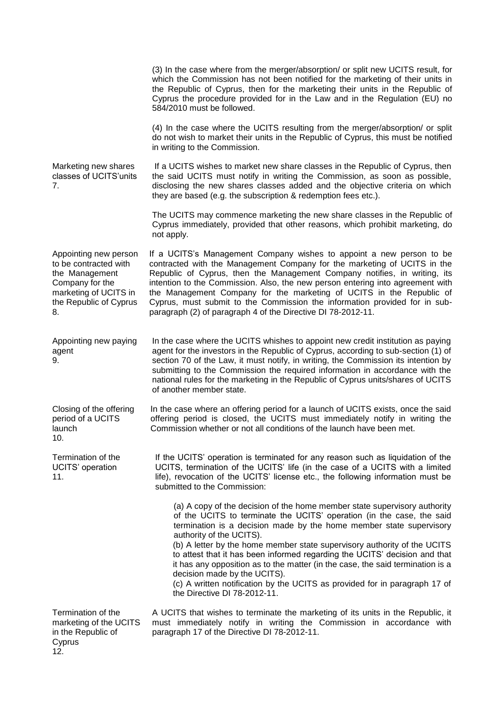|                                                                                                                                              | (3) In the case where from the merger/absorption/ or split new UCITS result, for<br>which the Commission has not been notified for the marketing of their units in<br>the Republic of Cyprus, then for the marketing their units in the Republic of<br>Cyprus the procedure provided for in the Law and in the Regulation (EU) no<br>584/2010 must be followed.                                                                                                                                                                                                                                                                                 |
|----------------------------------------------------------------------------------------------------------------------------------------------|-------------------------------------------------------------------------------------------------------------------------------------------------------------------------------------------------------------------------------------------------------------------------------------------------------------------------------------------------------------------------------------------------------------------------------------------------------------------------------------------------------------------------------------------------------------------------------------------------------------------------------------------------|
|                                                                                                                                              | (4) In the case where the UCITS resulting from the merger/absorption/ or split<br>do not wish to market their units in the Republic of Cyprus, this must be notified<br>in writing to the Commission.                                                                                                                                                                                                                                                                                                                                                                                                                                           |
| Marketing new shares<br>classes of UCITS'units<br>7.                                                                                         | If a UCITS wishes to market new share classes in the Republic of Cyprus, then<br>the said UCITS must notify in writing the Commission, as soon as possible,<br>disclosing the new shares classes added and the objective criteria on which<br>they are based (e.g. the subscription & redemption fees etc.).                                                                                                                                                                                                                                                                                                                                    |
|                                                                                                                                              | The UCITS may commence marketing the new share classes in the Republic of<br>Cyprus immediately, provided that other reasons, which prohibit marketing, do<br>not apply.                                                                                                                                                                                                                                                                                                                                                                                                                                                                        |
| Appointing new person<br>to be contracted with<br>the Management<br>Company for the<br>marketing of UCITS in<br>the Republic of Cyprus<br>8. | If a UCITS's Management Company wishes to appoint a new person to be<br>contracted with the Management Company for the marketing of UCITS in the<br>Republic of Cyprus, then the Management Company notifies, in writing, its<br>intention to the Commission. Also, the new person entering into agreement with<br>the Management Company for the marketing of UCITS in the Republic of<br>Cyprus, must submit to the Commission the information provided for in sub-<br>paragraph (2) of paragraph 4 of the Directive DI 78-2012-11.                                                                                                           |
| Appointing new paying<br>agent<br>9.                                                                                                         | In the case where the UCITS whishes to appoint new credit institution as paying<br>agent for the investors in the Republic of Cyprus, according to sub-section (1) of<br>section 70 of the Law, it must notify, in writing, the Commission its intention by<br>submitting to the Commission the required information in accordance with the<br>national rules for the marketing in the Republic of Cyprus units/shares of UCITS<br>of another member state.                                                                                                                                                                                     |
| Closing of the offering<br>period of a UCITS<br>launch<br>10.                                                                                | In the case where an offering period for a launch of UCITS exists, once the said<br>offering period is closed, the UCITS must immediately notify in writing the<br>Commission whether or not all conditions of the launch have been met.                                                                                                                                                                                                                                                                                                                                                                                                        |
| Termination of the<br>UCITS' operation<br>11.                                                                                                | If the UCITS' operation is terminated for any reason such as liquidation of the<br>UCITS, termination of the UCITS' life (in the case of a UCITS with a limited<br>life), revocation of the UCITS' license etc., the following information must be<br>submitted to the Commission:                                                                                                                                                                                                                                                                                                                                                              |
|                                                                                                                                              | (a) A copy of the decision of the home member state supervisory authority<br>of the UCITS to terminate the UCITS' operation (in the case, the said<br>termination is a decision made by the home member state supervisory<br>authority of the UCITS).<br>(b) A letter by the home member state supervisory authority of the UCITS<br>to attest that it has been informed regarding the UCITS' decision and that<br>it has any opposition as to the matter (in the case, the said termination is a<br>decision made by the UCITS).<br>(c) A written notification by the UCITS as provided for in paragraph 17 of<br>the Directive DI 78-2012-11. |
| Termination of the<br>marketing of the UCITS<br>in the Republic of<br>Cyprus<br>12.                                                          | A UCITS that wishes to terminate the marketing of its units in the Republic, it<br>must immediately notify in writing the Commission in accordance with<br>paragraph 17 of the Directive DI 78-2012-11.                                                                                                                                                                                                                                                                                                                                                                                                                                         |